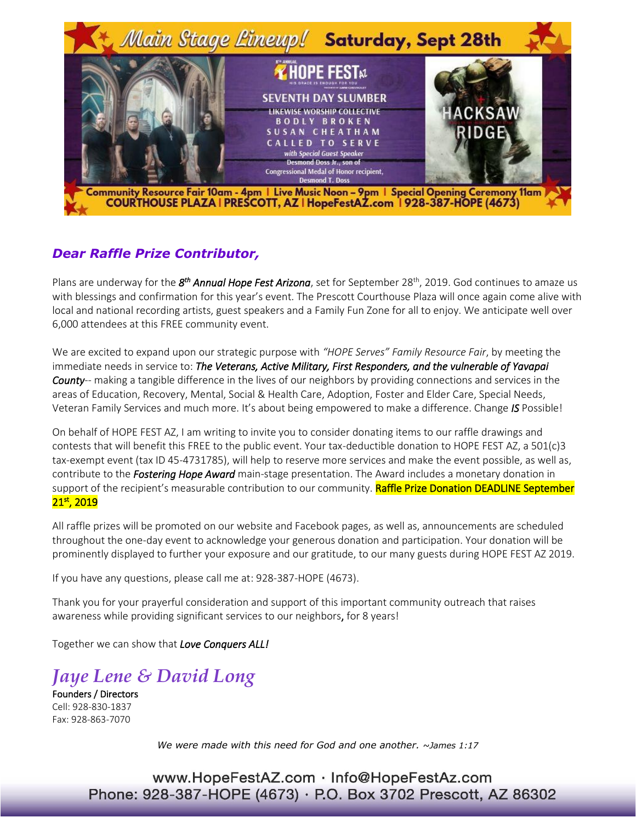

## *Dear Raffle Prize Contributor,*

Plans are underway for the  $8^{th}$  Annual Hope Fest Arizona, set for September 28<sup>th</sup>, 2019. God continues to amaze us with blessings and confirmation for this year's event. The Prescott Courthouse Plaza will once again come alive with local and national recording artists, guest speakers and a Family Fun Zone for all to enjoy. We anticipate well over 6,000 attendees at this FREE community event.

We are excited to expand upon our strategic purpose with *"HOPE Serves" Family Resource Fair*, by meeting the immediate needs in service to: *The Veterans, Active Military, First Responders, and the vulnerable of Yavapai County*-- making a tangible difference in the lives of our neighbors by providing connections and services in the areas of Education, Recovery, Mental, Social & Health Care, Adoption, Foster and Elder Care, Special Needs, Veteran Family Services and much more. It's about being empowered to make a difference. Change *IS* Possible!

On behalf of HOPE FEST AZ, I am writing to invite you to consider donating items to our raffle drawings and contests that will benefit this FREE to the public event. Your tax-deductible donation to HOPE FEST AZ, a 501(c)3 tax-exempt event (tax ID 45-4731785), will help to reserve more services and make the event possible, as well as, contribute to the *Fostering Hope Award* main-stage presentation. The Award includes a monetary donation in support of the recipient's measurable contribution to our community. Raffle Prize Donation DEADLINE September 21st, 2019

All raffle prizes will be promoted on our website and Facebook pages, as well as, announcements are scheduled throughout the one-day event to acknowledge your generous donation and participation. Your donation will be prominently displayed to further your exposure and our gratitude, to our many guests during HOPE FEST AZ 2019.

If you have any questions, please call me at: 928-387-HOPE (4673).

Thank you for your prayerful consideration and support of this important community outreach that raises awareness while providing significant services to our neighbors, for 8 years!

Together we can show that *Love Conquers ALL!* 

## *Jaye Lene & David Long*

Founders / Directors Cell: 928-830-1837 Fax: 928-863-7070

*We were made with this need for God and one another. ~James 1:17*

www.HopeFestAZ.com · Info@HopeFestAz.com Phone: 928-387-HOPE (4673) · P.O. Box 3702 Prescott, AZ 86302